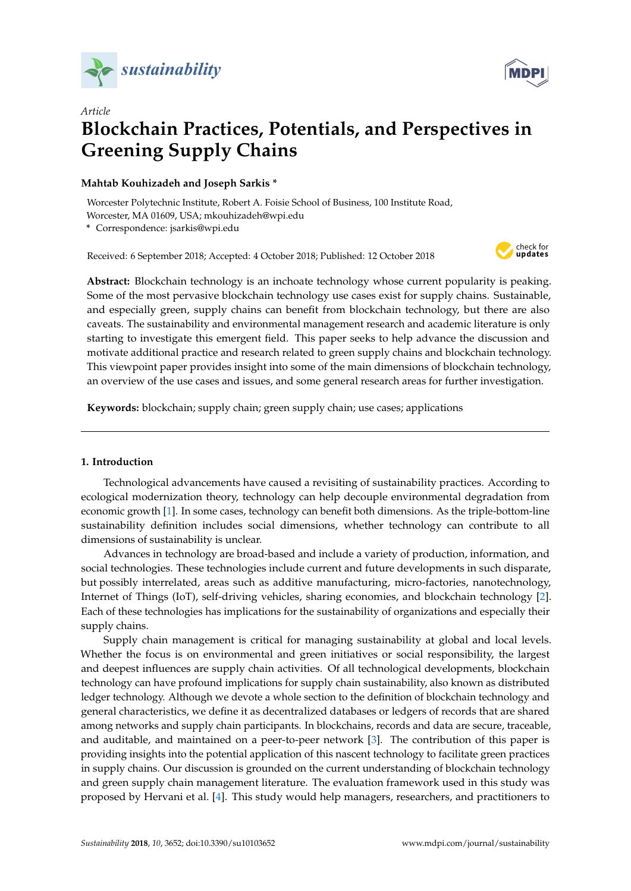



# *Article* **Blockchain Practices, Potentials, and Perspectives in Greening Supply Chains**

# **Mahtab Kouhizadeh and Joseph Sarkis \***

Worcester Polytechnic Institute, Robert A. Foisie School of Business, 100 Institute Road, Worcester, MA 01609, USA; mkouhizadeh@wpi.edu

**\*** Correspondence: jsarkis@wpi.edu

Received: 6 September 2018; Accepted: 4 October 2018; Published: 12 October 2018



**Abstract:** Blockchain technology is an inchoate technology whose current popularity is peaking. Some of the most pervasive blockchain technology use cases exist for supply chains. Sustainable, and especially green, supply chains can benefit from blockchain technology, but there are also caveats. The sustainability and environmental management research and academic literature is only starting to investigate this emergent field. This paper seeks to help advance the discussion and motivate additional practice and research related to green supply chains and blockchain technology. This viewpoint paper provides insight into some of the main dimensions of blockchain technology, an overview of the use cases and issues, and some general research areas for further investigation.

**Keywords:** blockchain; supply chain; green supply chain; use cases; applications

## **1. Introduction**

Technological advancements have caused a revisiting of sustainability practices. According to ecological modernization theory, technology can help decouple environmental degradation from economic growth [\[1\]](#page-13-0). In some cases, technology can benefit both dimensions. As the triple-bottom-line sustainability definition includes social dimensions, whether technology can contribute to all dimensions of sustainability is unclear.

Advances in technology are broad-based and include a variety of production, information, and social technologies. These technologies include current and future developments in such disparate, but possibly interrelated, areas such as additive manufacturing, micro-factories, nanotechnology, Internet of Things (IoT), self-driving vehicles, sharing economies, and blockchain technology [\[2\]](#page-13-1). Each of these technologies has implications for the sustainability of organizations and especially their supply chains.

Supply chain management is critical for managing sustainability at global and local levels. Whether the focus is on environmental and green initiatives or social responsibility, the largest and deepest influences are supply chain activities. Of all technological developments, blockchain technology can have profound implications for supply chain sustainability, also known as distributed ledger technology. Although we devote a whole section to the definition of blockchain technology and general characteristics, we define it as decentralized databases or ledgers of records that are shared among networks and supply chain participants. In blockchains, records and data are secure, traceable, and auditable, and maintained on a peer-to-peer network [\[3\]](#page-13-2). The contribution of this paper is providing insights into the potential application of this nascent technology to facilitate green practices in supply chains. Our discussion is grounded on the current understanding of blockchain technology and green supply chain management literature. The evaluation framework used in this study was proposed by Hervani et al. [\[4\]](#page-13-3). This study would help managers, researchers, and practitioners to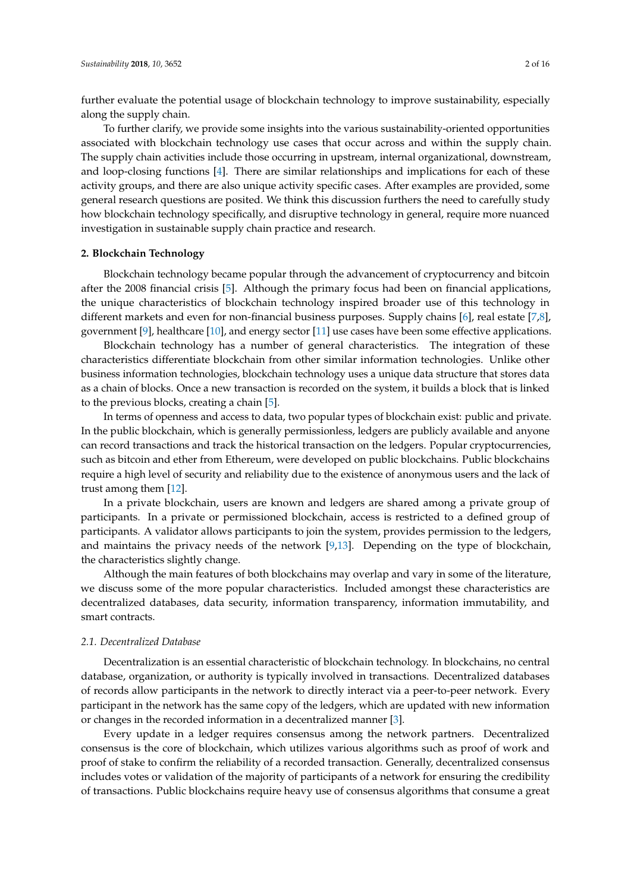further evaluate the potential usage of blockchain technology to improve sustainability, especially along the supply chain.

To further clarify, we provide some insights into the various sustainability-oriented opportunities associated with blockchain technology use cases that occur across and within the supply chain. The supply chain activities include those occurring in upstream, internal organizational, downstream, and loop-closing functions [\[4\]](#page-13-3). There are similar relationships and implications for each of these activity groups, and there are also unique activity specific cases. After examples are provided, some general research questions are posited. We think this discussion furthers the need to carefully study how blockchain technology specifically, and disruptive technology in general, require more nuanced investigation in sustainable supply chain practice and research.

## **2. Blockchain Technology**

Blockchain technology became popular through the advancement of cryptocurrency and bitcoin after the 2008 financial crisis [\[5\]](#page-13-4). Although the primary focus had been on financial applications, the unique characteristics of blockchain technology inspired broader use of this technology in different markets and even for non-financial business purposes. Supply chains [\[6\]](#page-13-5), real estate [\[7,](#page-13-6)[8\]](#page-13-7), government [\[9\]](#page-13-8), healthcare [\[10\]](#page-13-9), and energy sector [\[11\]](#page-13-10) use cases have been some effective applications.

Blockchain technology has a number of general characteristics. The integration of these characteristics differentiate blockchain from other similar information technologies. Unlike other business information technologies, blockchain technology uses a unique data structure that stores data as a chain of blocks. Once a new transaction is recorded on the system, it builds a block that is linked to the previous blocks, creating a chain [\[5\]](#page-13-4).

In terms of openness and access to data, two popular types of blockchain exist: public and private. In the public blockchain, which is generally permissionless, ledgers are publicly available and anyone can record transactions and track the historical transaction on the ledgers. Popular cryptocurrencies, such as bitcoin and ether from Ethereum, were developed on public blockchains. Public blockchains require a high level of security and reliability due to the existence of anonymous users and the lack of trust among them [\[12\]](#page-13-11).

In a private blockchain, users are known and ledgers are shared among a private group of participants. In a private or permissioned blockchain, access is restricted to a defined group of participants. A validator allows participants to join the system, provides permission to the ledgers, and maintains the privacy needs of the network  $[9,13]$  $[9,13]$ . Depending on the type of blockchain, the characteristics slightly change.

Although the main features of both blockchains may overlap and vary in some of the literature, we discuss some of the more popular characteristics. Included amongst these characteristics are decentralized databases, data security, information transparency, information immutability, and smart contracts.

#### *2.1. Decentralized Database*

Decentralization is an essential characteristic of blockchain technology. In blockchains, no central database, organization, or authority is typically involved in transactions. Decentralized databases of records allow participants in the network to directly interact via a peer-to-peer network. Every participant in the network has the same copy of the ledgers, which are updated with new information or changes in the recorded information in a decentralized manner [\[3\]](#page-13-2).

Every update in a ledger requires consensus among the network partners. Decentralized consensus is the core of blockchain, which utilizes various algorithms such as proof of work and proof of stake to confirm the reliability of a recorded transaction. Generally, decentralized consensus includes votes or validation of the majority of participants of a network for ensuring the credibility of transactions. Public blockchains require heavy use of consensus algorithms that consume a great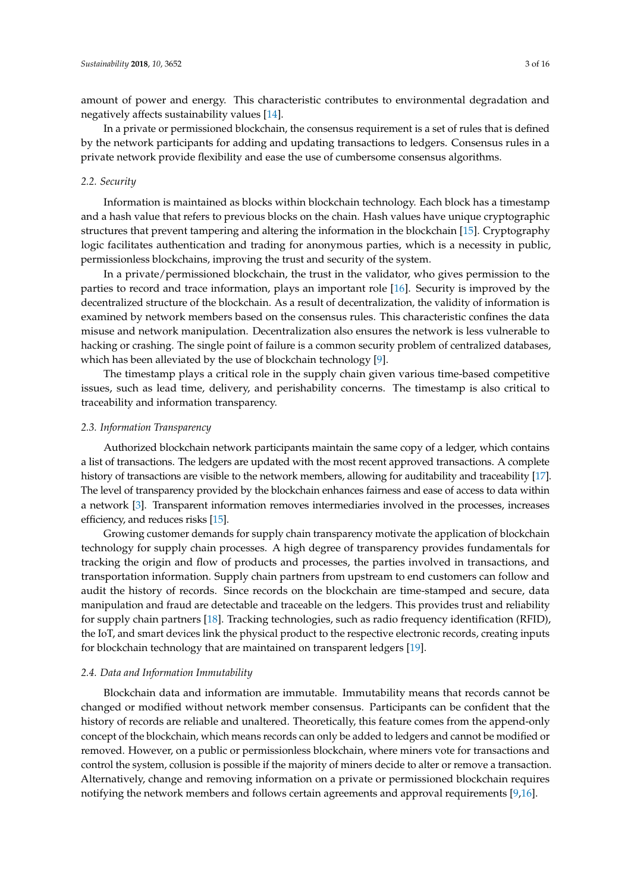amount of power and energy. This characteristic contributes to environmental degradation and negatively affects sustainability values [\[14\]](#page-13-13).

In a private or permissioned blockchain, the consensus requirement is a set of rules that is defined by the network participants for adding and updating transactions to ledgers. Consensus rules in a private network provide flexibility and ease the use of cumbersome consensus algorithms.

## *2.2. Security*

Information is maintained as blocks within blockchain technology. Each block has a timestamp and a hash value that refers to previous blocks on the chain. Hash values have unique cryptographic structures that prevent tampering and altering the information in the blockchain [\[15\]](#page-13-14). Cryptography logic facilitates authentication and trading for anonymous parties, which is a necessity in public, permissionless blockchains, improving the trust and security of the system.

In a private/permissioned blockchain, the trust in the validator, who gives permission to the parties to record and trace information, plays an important role [\[16\]](#page-13-15). Security is improved by the decentralized structure of the blockchain. As a result of decentralization, the validity of information is examined by network members based on the consensus rules. This characteristic confines the data misuse and network manipulation. Decentralization also ensures the network is less vulnerable to hacking or crashing. The single point of failure is a common security problem of centralized databases, which has been alleviated by the use of blockchain technology [\[9\]](#page-13-8).

The timestamp plays a critical role in the supply chain given various time-based competitive issues, such as lead time, delivery, and perishability concerns. The timestamp is also critical to traceability and information transparency.

#### *2.3. Information Transparency*

Authorized blockchain network participants maintain the same copy of a ledger, which contains a list of transactions. The ledgers are updated with the most recent approved transactions. A complete history of transactions are visible to the network members, allowing for auditability and traceability [\[17\]](#page-13-16). The level of transparency provided by the blockchain enhances fairness and ease of access to data within a network [\[3\]](#page-13-2). Transparent information removes intermediaries involved in the processes, increases efficiency, and reduces risks [\[15\]](#page-13-14).

Growing customer demands for supply chain transparency motivate the application of blockchain technology for supply chain processes. A high degree of transparency provides fundamentals for tracking the origin and flow of products and processes, the parties involved in transactions, and transportation information. Supply chain partners from upstream to end customers can follow and audit the history of records. Since records on the blockchain are time-stamped and secure, data manipulation and fraud are detectable and traceable on the ledgers. This provides trust and reliability for supply chain partners [\[18\]](#page-13-17). Tracking technologies, such as radio frequency identification (RFID), the IoT, and smart devices link the physical product to the respective electronic records, creating inputs for blockchain technology that are maintained on transparent ledgers [\[19\]](#page-13-18).

#### *2.4. Data and Information Immutability*

Blockchain data and information are immutable. Immutability means that records cannot be changed or modified without network member consensus. Participants can be confident that the history of records are reliable and unaltered. Theoretically, this feature comes from the append-only concept of the blockchain, which means records can only be added to ledgers and cannot be modified or removed. However, on a public or permissionless blockchain, where miners vote for transactions and control the system, collusion is possible if the majority of miners decide to alter or remove a transaction. Alternatively, change and removing information on a private or permissioned blockchain requires notifying the network members and follows certain agreements and approval requirements [\[9](#page-13-8)[,16\]](#page-13-15).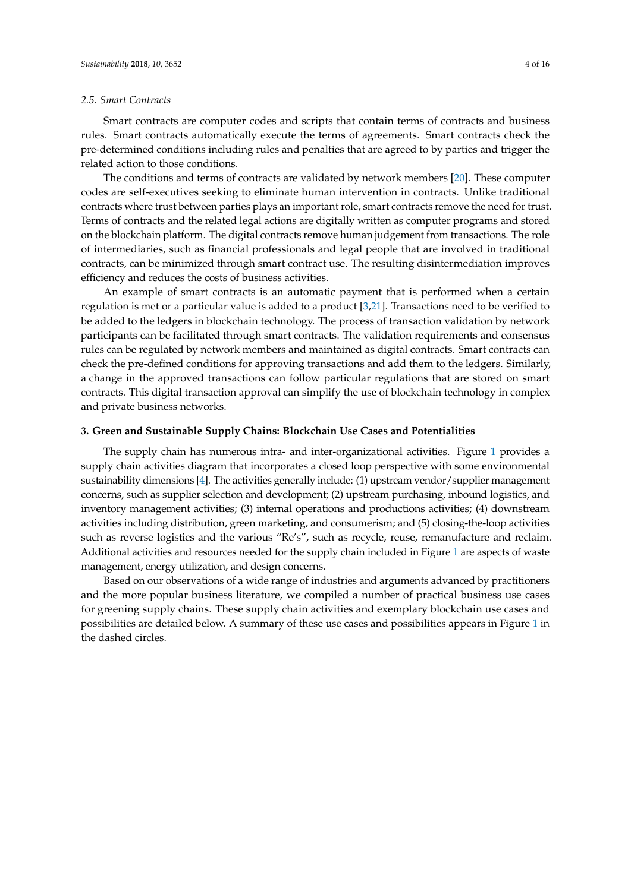## *2.5. Smart Contracts*

Smart contracts are computer codes and scripts that contain terms of contracts and business rules. Smart contracts automatically execute the terms of agreements. Smart contracts check the pre-determined conditions including rules and penalties that are agreed to by parties and trigger the related action to those conditions.

The conditions and terms of contracts are validated by network members [\[20\]](#page-13-19). These computer codes are self-executives seeking to eliminate human intervention in contracts. Unlike traditional contracts where trust between parties plays an important role, smart contracts remove the need for trust. Terms of contracts and the related legal actions are digitally written as computer programs and stored on the blockchain platform. The digital contracts remove human judgement from transactions. The role of intermediaries, such as financial professionals and legal people that are involved in traditional contracts, can be minimized through smart contract use. The resulting disintermediation improves efficiency and reduces the costs of business activities.

An example of smart contracts is an automatic payment that is performed when a certain regulation is met or a particular value is added to a product [\[3,](#page-13-2)[21\]](#page-14-0). Transactions need to be verified to be added to the ledgers in blockchain technology. The process of transaction validation by network participants can be facilitated through smart contracts. The validation requirements and consensus rules can be regulated by network members and maintained as digital contracts. Smart contracts can check the pre-defined conditions for approving transactions and add them to the ledgers. Similarly, a change in the approved transactions can follow particular regulations that are stored on smart contracts. This digital transaction approval can simplify the use of blockchain technology in complex and private business networks.

#### **3. Green and Sustainable Supply Chains: Blockchain Use Cases and Potentialities**

The supply chain has numerous intra- and inter-organizational activities. Figure [1](#page-4-0) provides a supply chain activities diagram that incorporates a closed loop perspective with some environmental sustainability dimensions  $[4]$ . The activities generally include: (1) upstream vendor/supplier management concerns, such as supplier selection and development; (2) upstream purchasing, inbound logistics, and inventory management activities; (3) internal operations and productions activities; (4) downstream activities including distribution, green marketing, and consumerism; and (5) closing-the-loop activities such as reverse logistics and the various "Re's", such as recycle, reuse, remanufacture and reclaim. Additional activities and resources needed for the supply chain included in Figure [1](#page-4-0) are aspects of waste management, energy utilization, and design concerns.

Based on our observations of a wide range of industries and arguments advanced by practitioners and the more popular business literature, we compiled a number of practical business use cases for greening supply chains. These supply chain activities and exemplary blockchain use cases and possibilities are detailed below. A summary of these use cases and possibilities appears in Figure [1](#page-4-0) in the dashed circles.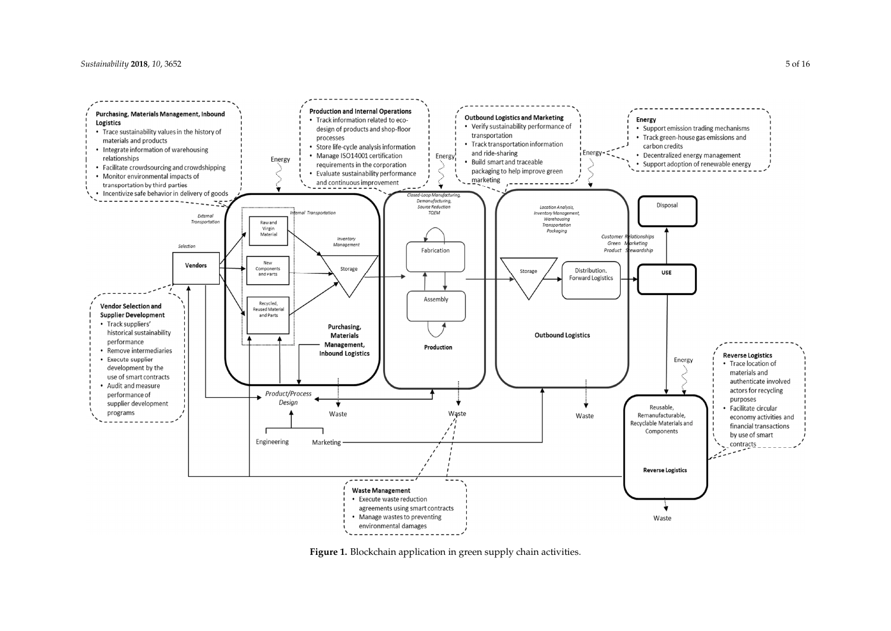*Sustainability* **2018**, *10*, 3652 5 of 16

<span id="page-4-0"></span>

**Figure 1.** Blockchain application in green supply chain activities. **Figure 1.** Blockchain application in green supply chain activities.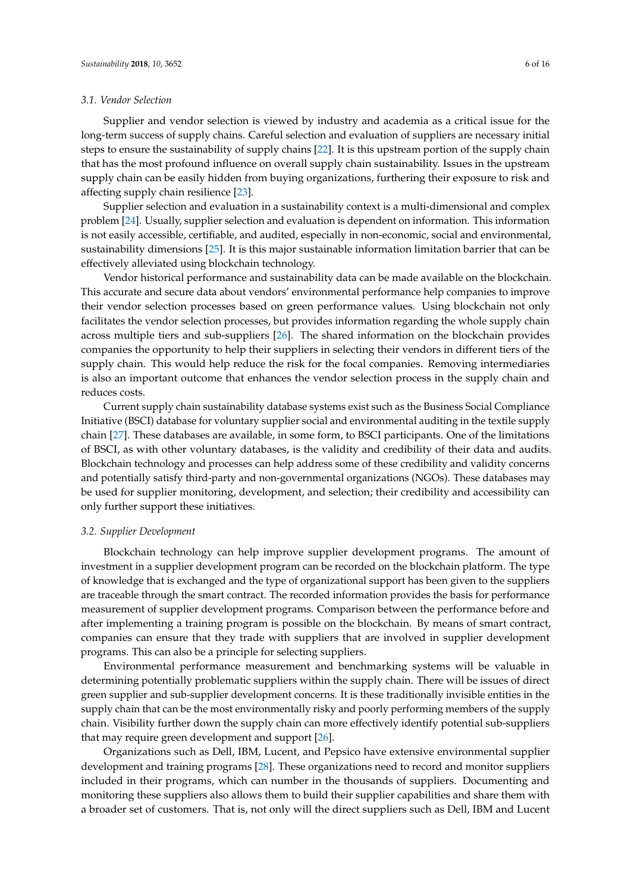#### *3.1. Vendor Selection*

Supplier and vendor selection is viewed by industry and academia as a critical issue for the long-term success of supply chains. Careful selection and evaluation of suppliers are necessary initial steps to ensure the sustainability of supply chains [\[22\]](#page-14-1). It is this upstream portion of the supply chain that has the most profound influence on overall supply chain sustainability. Issues in the upstream supply chain can be easily hidden from buying organizations, furthering their exposure to risk and affecting supply chain resilience [\[23\]](#page-14-2).

Supplier selection and evaluation in a sustainability context is a multi-dimensional and complex problem [\[24\]](#page-14-3). Usually, supplier selection and evaluation is dependent on information. This information is not easily accessible, certifiable, and audited, especially in non-economic, social and environmental, sustainability dimensions [\[25\]](#page-14-4). It is this major sustainable information limitation barrier that can be effectively alleviated using blockchain technology.

Vendor historical performance and sustainability data can be made available on the blockchain. This accurate and secure data about vendors' environmental performance help companies to improve their vendor selection processes based on green performance values. Using blockchain not only facilitates the vendor selection processes, but provides information regarding the whole supply chain across multiple tiers and sub-suppliers [\[26\]](#page-14-5). The shared information on the blockchain provides companies the opportunity to help their suppliers in selecting their vendors in different tiers of the supply chain. This would help reduce the risk for the focal companies. Removing intermediaries is also an important outcome that enhances the vendor selection process in the supply chain and reduces costs.

Current supply chain sustainability database systems exist such as the Business Social Compliance Initiative (BSCI) database for voluntary supplier social and environmental auditing in the textile supply chain [\[27\]](#page-14-6). These databases are available, in some form, to BSCI participants. One of the limitations of BSCI, as with other voluntary databases, is the validity and credibility of their data and audits. Blockchain technology and processes can help address some of these credibility and validity concerns and potentially satisfy third-party and non-governmental organizations (NGOs). These databases may be used for supplier monitoring, development, and selection; their credibility and accessibility can only further support these initiatives.

## *3.2. Supplier Development*

Blockchain technology can help improve supplier development programs. The amount of investment in a supplier development program can be recorded on the blockchain platform. The type of knowledge that is exchanged and the type of organizational support has been given to the suppliers are traceable through the smart contract. The recorded information provides the basis for performance measurement of supplier development programs. Comparison between the performance before and after implementing a training program is possible on the blockchain. By means of smart contract, companies can ensure that they trade with suppliers that are involved in supplier development programs. This can also be a principle for selecting suppliers.

Environmental performance measurement and benchmarking systems will be valuable in determining potentially problematic suppliers within the supply chain. There will be issues of direct green supplier and sub-supplier development concerns. It is these traditionally invisible entities in the supply chain that can be the most environmentally risky and poorly performing members of the supply chain. Visibility further down the supply chain can more effectively identify potential sub-suppliers that may require green development and support [\[26\]](#page-14-5).

Organizations such as Dell, IBM, Lucent, and Pepsico have extensive environmental supplier development and training programs [\[28\]](#page-14-7). These organizations need to record and monitor suppliers included in their programs, which can number in the thousands of suppliers. Documenting and monitoring these suppliers also allows them to build their supplier capabilities and share them with a broader set of customers. That is, not only will the direct suppliers such as Dell, IBM and Lucent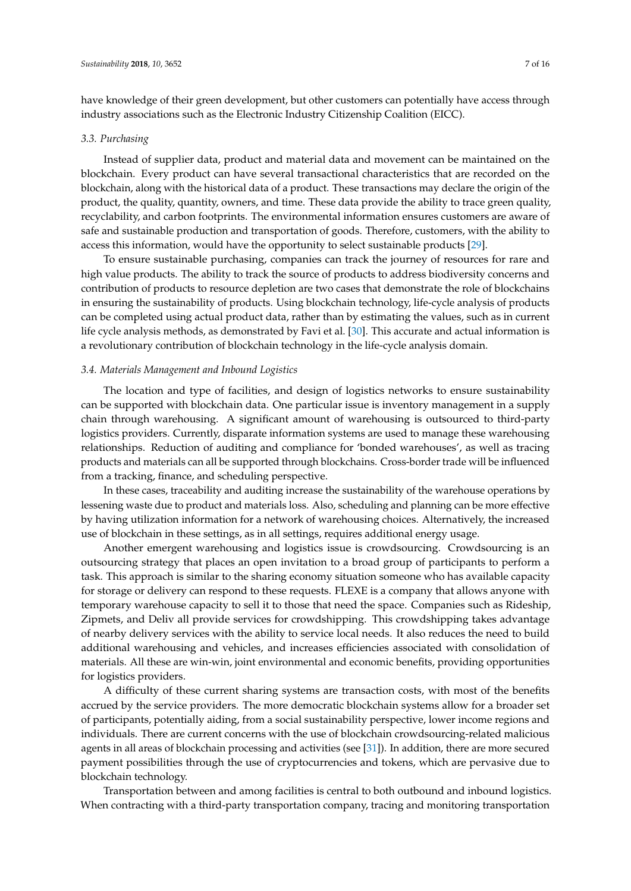have knowledge of their green development, but other customers can potentially have access through industry associations such as the Electronic Industry Citizenship Coalition (EICC).

#### *3.3. Purchasing*

Instead of supplier data, product and material data and movement can be maintained on the blockchain. Every product can have several transactional characteristics that are recorded on the blockchain, along with the historical data of a product. These transactions may declare the origin of the product, the quality, quantity, owners, and time. These data provide the ability to trace green quality, recyclability, and carbon footprints. The environmental information ensures customers are aware of safe and sustainable production and transportation of goods. Therefore, customers, with the ability to access this information, would have the opportunity to select sustainable products [\[29\]](#page-14-8).

To ensure sustainable purchasing, companies can track the journey of resources for rare and high value products. The ability to track the source of products to address biodiversity concerns and contribution of products to resource depletion are two cases that demonstrate the role of blockchains in ensuring the sustainability of products. Using blockchain technology, life-cycle analysis of products can be completed using actual product data, rather than by estimating the values, such as in current life cycle analysis methods, as demonstrated by Favi et al. [\[30\]](#page-14-9). This accurate and actual information is a revolutionary contribution of blockchain technology in the life-cycle analysis domain.

#### *3.4. Materials Management and Inbound Logistics*

The location and type of facilities, and design of logistics networks to ensure sustainability can be supported with blockchain data. One particular issue is inventory management in a supply chain through warehousing. A significant amount of warehousing is outsourced to third-party logistics providers. Currently, disparate information systems are used to manage these warehousing relationships. Reduction of auditing and compliance for 'bonded warehouses', as well as tracing products and materials can all be supported through blockchains. Cross-border trade will be influenced from a tracking, finance, and scheduling perspective.

In these cases, traceability and auditing increase the sustainability of the warehouse operations by lessening waste due to product and materials loss. Also, scheduling and planning can be more effective by having utilization information for a network of warehousing choices. Alternatively, the increased use of blockchain in these settings, as in all settings, requires additional energy usage.

Another emergent warehousing and logistics issue is crowdsourcing. Crowdsourcing is an outsourcing strategy that places an open invitation to a broad group of participants to perform a task. This approach is similar to the sharing economy situation someone who has available capacity for storage or delivery can respond to these requests. FLEXE is a company that allows anyone with temporary warehouse capacity to sell it to those that need the space. Companies such as Rideship, Zipmets, and Deliv all provide services for crowdshipping. This crowdshipping takes advantage of nearby delivery services with the ability to service local needs. It also reduces the need to build additional warehousing and vehicles, and increases efficiencies associated with consolidation of materials. All these are win-win, joint environmental and economic benefits, providing opportunities for logistics providers.

A difficulty of these current sharing systems are transaction costs, with most of the benefits accrued by the service providers. The more democratic blockchain systems allow for a broader set of participants, potentially aiding, from a social sustainability perspective, lower income regions and individuals. There are current concerns with the use of blockchain crowdsourcing-related malicious agents in all areas of blockchain processing and activities (see [\[31\]](#page-14-10)). In addition, there are more secured payment possibilities through the use of cryptocurrencies and tokens, which are pervasive due to blockchain technology.

Transportation between and among facilities is central to both outbound and inbound logistics. When contracting with a third-party transportation company, tracing and monitoring transportation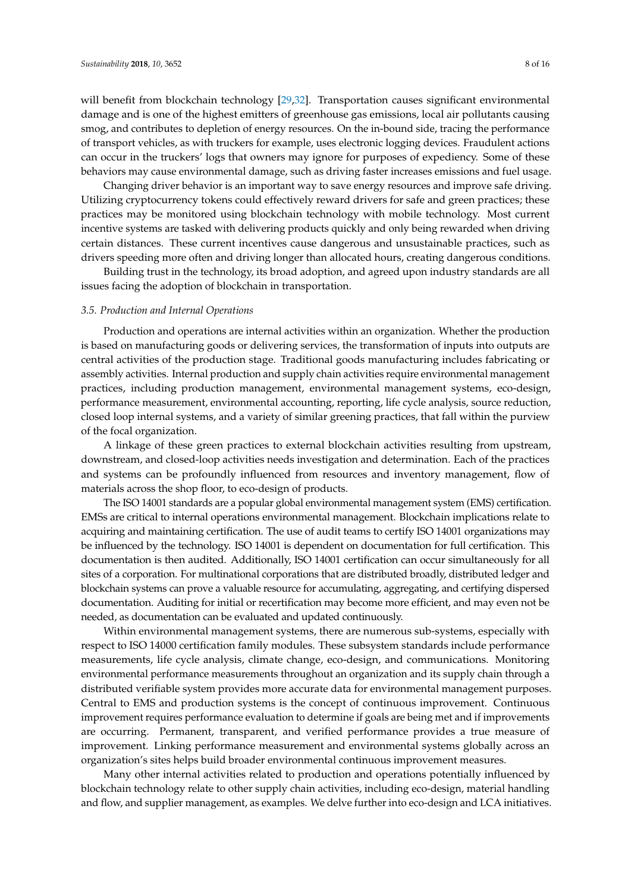will benefit from blockchain technology [\[29](#page-14-8)[,32\]](#page-14-11). Transportation causes significant environmental damage and is one of the highest emitters of greenhouse gas emissions, local air pollutants causing smog, and contributes to depletion of energy resources. On the in-bound side, tracing the performance of transport vehicles, as with truckers for example, uses electronic logging devices. Fraudulent actions can occur in the truckers' logs that owners may ignore for purposes of expediency. Some of these behaviors may cause environmental damage, such as driving faster increases emissions and fuel usage.

Changing driver behavior is an important way to save energy resources and improve safe driving. Utilizing cryptocurrency tokens could effectively reward drivers for safe and green practices; these practices may be monitored using blockchain technology with mobile technology. Most current incentive systems are tasked with delivering products quickly and only being rewarded when driving certain distances. These current incentives cause dangerous and unsustainable practices, such as drivers speeding more often and driving longer than allocated hours, creating dangerous conditions.

Building trust in the technology, its broad adoption, and agreed upon industry standards are all issues facing the adoption of blockchain in transportation.

#### *3.5. Production and Internal Operations*

Production and operations are internal activities within an organization. Whether the production is based on manufacturing goods or delivering services, the transformation of inputs into outputs are central activities of the production stage. Traditional goods manufacturing includes fabricating or assembly activities. Internal production and supply chain activities require environmental management practices, including production management, environmental management systems, eco-design, performance measurement, environmental accounting, reporting, life cycle analysis, source reduction, closed loop internal systems, and a variety of similar greening practices, that fall within the purview of the focal organization.

A linkage of these green practices to external blockchain activities resulting from upstream, downstream, and closed-loop activities needs investigation and determination. Each of the practices and systems can be profoundly influenced from resources and inventory management, flow of materials across the shop floor, to eco-design of products.

The ISO 14001 standards are a popular global environmental management system (EMS) certification. EMSs are critical to internal operations environmental management. Blockchain implications relate to acquiring and maintaining certification. The use of audit teams to certify ISO 14001 organizations may be influenced by the technology. ISO 14001 is dependent on documentation for full certification. This documentation is then audited. Additionally, ISO 14001 certification can occur simultaneously for all sites of a corporation. For multinational corporations that are distributed broadly, distributed ledger and blockchain systems can prove a valuable resource for accumulating, aggregating, and certifying dispersed documentation. Auditing for initial or recertification may become more efficient, and may even not be needed, as documentation can be evaluated and updated continuously.

Within environmental management systems, there are numerous sub-systems, especially with respect to ISO 14000 certification family modules. These subsystem standards include performance measurements, life cycle analysis, climate change, eco-design, and communications. Monitoring environmental performance measurements throughout an organization and its supply chain through a distributed verifiable system provides more accurate data for environmental management purposes. Central to EMS and production systems is the concept of continuous improvement. Continuous improvement requires performance evaluation to determine if goals are being met and if improvements are occurring. Permanent, transparent, and verified performance provides a true measure of improvement. Linking performance measurement and environmental systems globally across an organization's sites helps build broader environmental continuous improvement measures.

Many other internal activities related to production and operations potentially influenced by blockchain technology relate to other supply chain activities, including eco-design, material handling and flow, and supplier management, as examples. We delve further into eco-design and LCA initiatives.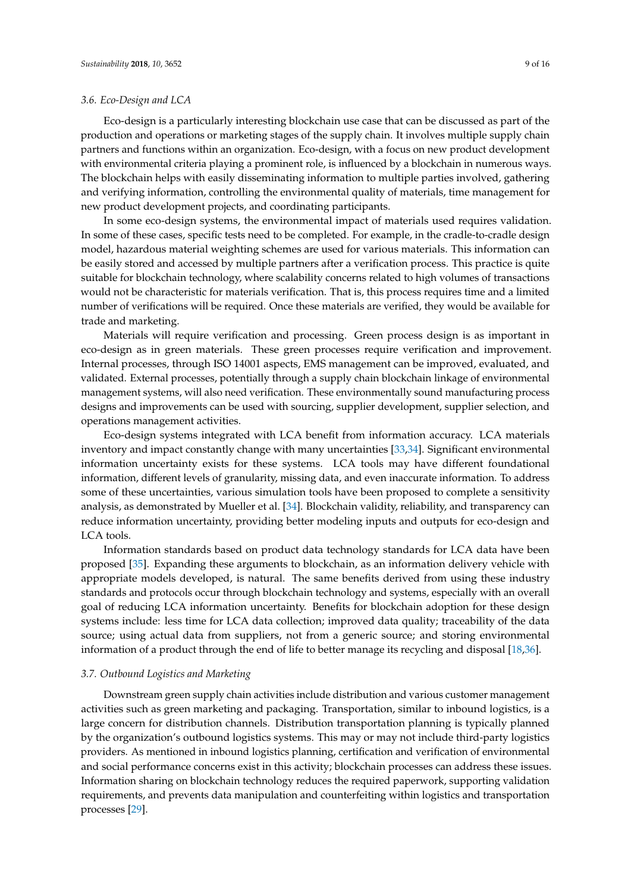## *3.6. Eco-Design and LCA*

Eco-design is a particularly interesting blockchain use case that can be discussed as part of the production and operations or marketing stages of the supply chain. It involves multiple supply chain partners and functions within an organization. Eco-design, with a focus on new product development with environmental criteria playing a prominent role, is influenced by a blockchain in numerous ways. The blockchain helps with easily disseminating information to multiple parties involved, gathering and verifying information, controlling the environmental quality of materials, time management for new product development projects, and coordinating participants.

In some eco-design systems, the environmental impact of materials used requires validation. In some of these cases, specific tests need to be completed. For example, in the cradle-to-cradle design model, hazardous material weighting schemes are used for various materials. This information can be easily stored and accessed by multiple partners after a verification process. This practice is quite suitable for blockchain technology, where scalability concerns related to high volumes of transactions would not be characteristic for materials verification. That is, this process requires time and a limited number of verifications will be required. Once these materials are verified, they would be available for trade and marketing.

Materials will require verification and processing. Green process design is as important in eco-design as in green materials. These green processes require verification and improvement. Internal processes, through ISO 14001 aspects, EMS management can be improved, evaluated, and validated. External processes, potentially through a supply chain blockchain linkage of environmental management systems, will also need verification. These environmentally sound manufacturing process designs and improvements can be used with sourcing, supplier development, supplier selection, and operations management activities.

Eco-design systems integrated with LCA benefit from information accuracy. LCA materials inventory and impact constantly change with many uncertainties [\[33,](#page-14-12)[34\]](#page-14-13). Significant environmental information uncertainty exists for these systems. LCA tools may have different foundational information, different levels of granularity, missing data, and even inaccurate information. To address some of these uncertainties, various simulation tools have been proposed to complete a sensitivity analysis, as demonstrated by Mueller et al. [\[34\]](#page-14-13). Blockchain validity, reliability, and transparency can reduce information uncertainty, providing better modeling inputs and outputs for eco-design and LCA tools.

Information standards based on product data technology standards for LCA data have been proposed [\[35\]](#page-14-14). Expanding these arguments to blockchain, as an information delivery vehicle with appropriate models developed, is natural. The same benefits derived from using these industry standards and protocols occur through blockchain technology and systems, especially with an overall goal of reducing LCA information uncertainty. Benefits for blockchain adoption for these design systems include: less time for LCA data collection; improved data quality; traceability of the data source; using actual data from suppliers, not from a generic source; and storing environmental information of a product through the end of life to better manage its recycling and disposal [\[18,](#page-13-17)[36\]](#page-14-15).

#### *3.7. Outbound Logistics and Marketing*

Downstream green supply chain activities include distribution and various customer management activities such as green marketing and packaging. Transportation, similar to inbound logistics, is a large concern for distribution channels. Distribution transportation planning is typically planned by the organization's outbound logistics systems. This may or may not include third-party logistics providers. As mentioned in inbound logistics planning, certification and verification of environmental and social performance concerns exist in this activity; blockchain processes can address these issues. Information sharing on blockchain technology reduces the required paperwork, supporting validation requirements, and prevents data manipulation and counterfeiting within logistics and transportation processes [\[29\]](#page-14-8).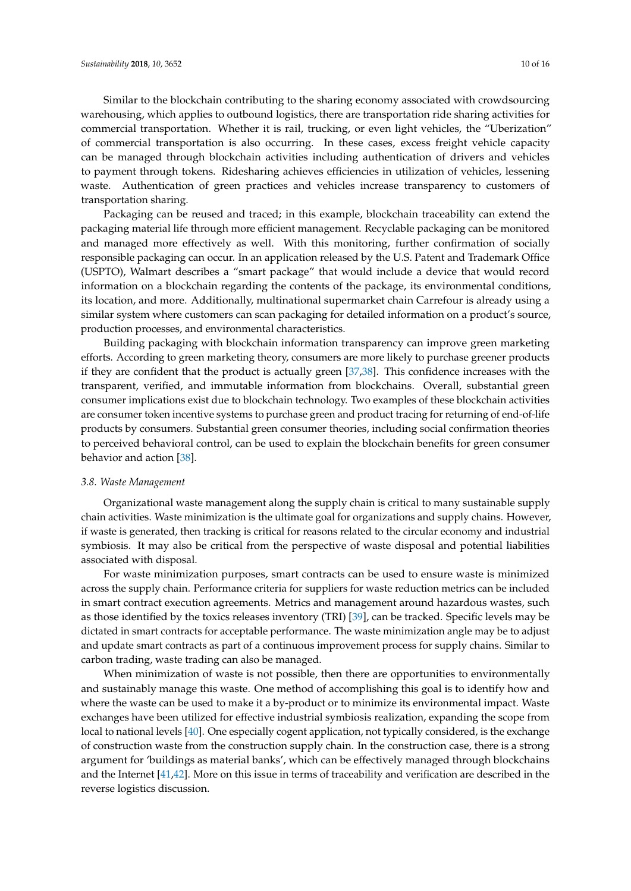Similar to the blockchain contributing to the sharing economy associated with crowdsourcing warehousing, which applies to outbound logistics, there are transportation ride sharing activities for commercial transportation. Whether it is rail, trucking, or even light vehicles, the "Uberization" of commercial transportation is also occurring. In these cases, excess freight vehicle capacity can be managed through blockchain activities including authentication of drivers and vehicles to payment through tokens. Ridesharing achieves efficiencies in utilization of vehicles, lessening waste. Authentication of green practices and vehicles increase transparency to customers of transportation sharing.

Packaging can be reused and traced; in this example, blockchain traceability can extend the packaging material life through more efficient management. Recyclable packaging can be monitored and managed more effectively as well. With this monitoring, further confirmation of socially responsible packaging can occur. In an application released by the U.S. Patent and Trademark Office (USPTO), Walmart describes a "smart package" that would include a device that would record information on a blockchain regarding the contents of the package, its environmental conditions, its location, and more. Additionally, multinational supermarket chain Carrefour is already using a similar system where customers can scan packaging for detailed information on a product's source, production processes, and environmental characteristics.

Building packaging with blockchain information transparency can improve green marketing efforts. According to green marketing theory, consumers are more likely to purchase greener products if they are confident that the product is actually green [\[37](#page-14-16)[,38\]](#page-14-17). This confidence increases with the transparent, verified, and immutable information from blockchains. Overall, substantial green consumer implications exist due to blockchain technology. Two examples of these blockchain activities are consumer token incentive systems to purchase green and product tracing for returning of end-of-life products by consumers. Substantial green consumer theories, including social confirmation theories to perceived behavioral control, can be used to explain the blockchain benefits for green consumer behavior and action [\[38\]](#page-14-17).

#### *3.8. Waste Management*

Organizational waste management along the supply chain is critical to many sustainable supply chain activities. Waste minimization is the ultimate goal for organizations and supply chains. However, if waste is generated, then tracking is critical for reasons related to the circular economy and industrial symbiosis. It may also be critical from the perspective of waste disposal and potential liabilities associated with disposal.

For waste minimization purposes, smart contracts can be used to ensure waste is minimized across the supply chain. Performance criteria for suppliers for waste reduction metrics can be included in smart contract execution agreements. Metrics and management around hazardous wastes, such as those identified by the toxics releases inventory (TRI) [\[39\]](#page-14-18), can be tracked. Specific levels may be dictated in smart contracts for acceptable performance. The waste minimization angle may be to adjust and update smart contracts as part of a continuous improvement process for supply chains. Similar to carbon trading, waste trading can also be managed.

When minimization of waste is not possible, then there are opportunities to environmentally and sustainably manage this waste. One method of accomplishing this goal is to identify how and where the waste can be used to make it a by-product or to minimize its environmental impact. Waste exchanges have been utilized for effective industrial symbiosis realization, expanding the scope from local to national levels [\[40\]](#page-14-19). One especially cogent application, not typically considered, is the exchange of construction waste from the construction supply chain. In the construction case, there is a strong argument for 'buildings as material banks', which can be effectively managed through blockchains and the Internet [\[41](#page-14-20)[,42\]](#page-14-21). More on this issue in terms of traceability and verification are described in the reverse logistics discussion.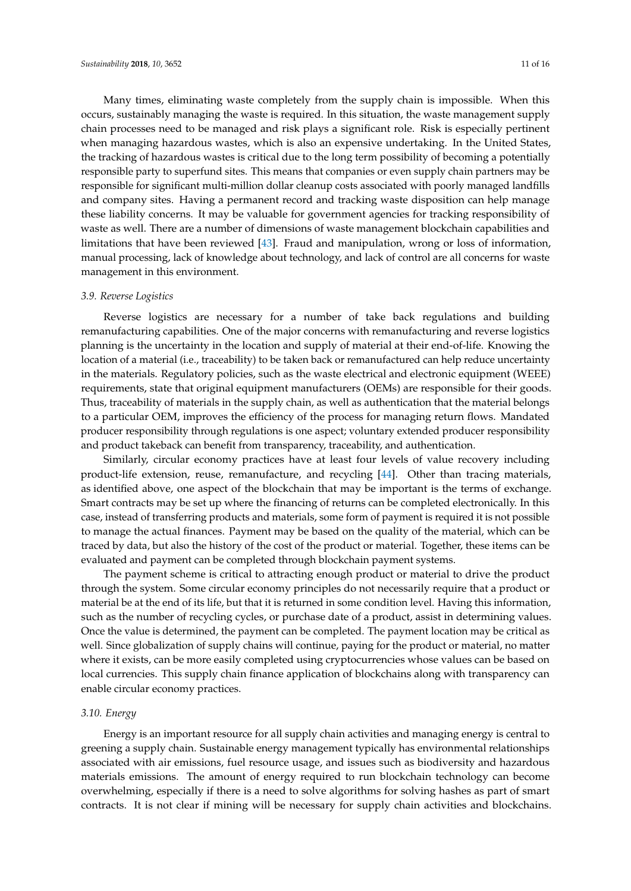Many times, eliminating waste completely from the supply chain is impossible. When this occurs, sustainably managing the waste is required. In this situation, the waste management supply chain processes need to be managed and risk plays a significant role. Risk is especially pertinent when managing hazardous wastes, which is also an expensive undertaking. In the United States, the tracking of hazardous wastes is critical due to the long term possibility of becoming a potentially responsible party to superfund sites. This means that companies or even supply chain partners may be responsible for significant multi-million dollar cleanup costs associated with poorly managed landfills and company sites. Having a permanent record and tracking waste disposition can help manage these liability concerns. It may be valuable for government agencies for tracking responsibility of waste as well. There are a number of dimensions of waste management blockchain capabilities and limitations that have been reviewed [\[43\]](#page-14-22). Fraud and manipulation, wrong or loss of information, manual processing, lack of knowledge about technology, and lack of control are all concerns for waste management in this environment.

## *3.9. Reverse Logistics*

Reverse logistics are necessary for a number of take back regulations and building remanufacturing capabilities. One of the major concerns with remanufacturing and reverse logistics planning is the uncertainty in the location and supply of material at their end-of-life. Knowing the location of a material (i.e., traceability) to be taken back or remanufactured can help reduce uncertainty in the materials. Regulatory policies, such as the waste electrical and electronic equipment (WEEE) requirements, state that original equipment manufacturers (OEMs) are responsible for their goods. Thus, traceability of materials in the supply chain, as well as authentication that the material belongs to a particular OEM, improves the efficiency of the process for managing return flows. Mandated producer responsibility through regulations is one aspect; voluntary extended producer responsibility and product takeback can benefit from transparency, traceability, and authentication.

Similarly, circular economy practices have at least four levels of value recovery including product-life extension, reuse, remanufacture, and recycling [\[44\]](#page-14-23). Other than tracing materials, as identified above, one aspect of the blockchain that may be important is the terms of exchange. Smart contracts may be set up where the financing of returns can be completed electronically. In this case, instead of transferring products and materials, some form of payment is required it is not possible to manage the actual finances. Payment may be based on the quality of the material, which can be traced by data, but also the history of the cost of the product or material. Together, these items can be evaluated and payment can be completed through blockchain payment systems.

The payment scheme is critical to attracting enough product or material to drive the product through the system. Some circular economy principles do not necessarily require that a product or material be at the end of its life, but that it is returned in some condition level. Having this information, such as the number of recycling cycles, or purchase date of a product, assist in determining values. Once the value is determined, the payment can be completed. The payment location may be critical as well. Since globalization of supply chains will continue, paying for the product or material, no matter where it exists, can be more easily completed using cryptocurrencies whose values can be based on local currencies. This supply chain finance application of blockchains along with transparency can enable circular economy practices.

## *3.10. Energy*

Energy is an important resource for all supply chain activities and managing energy is central to greening a supply chain. Sustainable energy management typically has environmental relationships associated with air emissions, fuel resource usage, and issues such as biodiversity and hazardous materials emissions. The amount of energy required to run blockchain technology can become overwhelming, especially if there is a need to solve algorithms for solving hashes as part of smart contracts. It is not clear if mining will be necessary for supply chain activities and blockchains.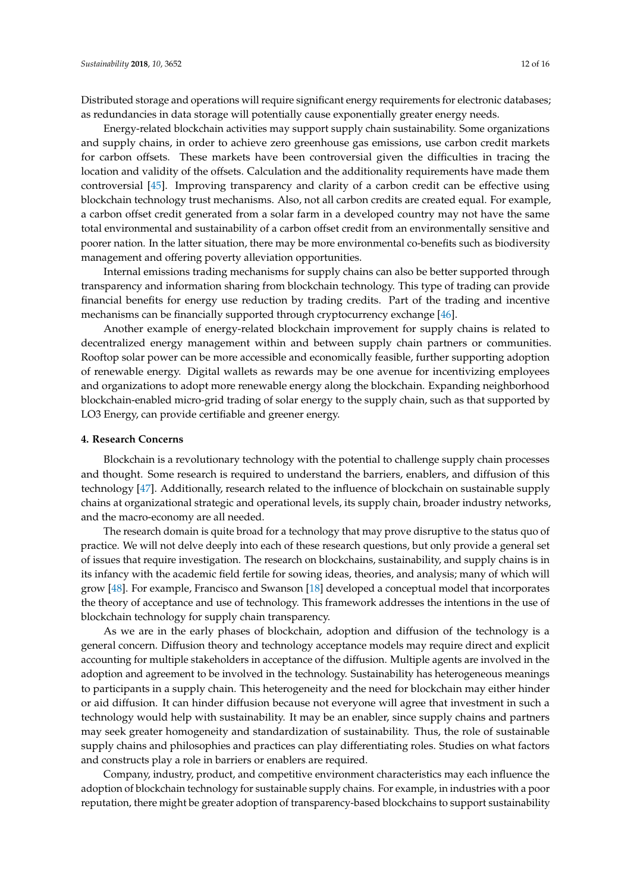Distributed storage and operations will require significant energy requirements for electronic databases; as redundancies in data storage will potentially cause exponentially greater energy needs.

Energy-related blockchain activities may support supply chain sustainability. Some organizations and supply chains, in order to achieve zero greenhouse gas emissions, use carbon credit markets for carbon offsets. These markets have been controversial given the difficulties in tracing the location and validity of the offsets. Calculation and the additionality requirements have made them controversial [\[45\]](#page-14-24). Improving transparency and clarity of a carbon credit can be effective using blockchain technology trust mechanisms. Also, not all carbon credits are created equal. For example, a carbon offset credit generated from a solar farm in a developed country may not have the same total environmental and sustainability of a carbon offset credit from an environmentally sensitive and poorer nation. In the latter situation, there may be more environmental co-benefits such as biodiversity management and offering poverty alleviation opportunities.

Internal emissions trading mechanisms for supply chains can also be better supported through transparency and information sharing from blockchain technology. This type of trading can provide financial benefits for energy use reduction by trading credits. Part of the trading and incentive mechanisms can be financially supported through cryptocurrency exchange [\[46\]](#page-15-0).

Another example of energy-related blockchain improvement for supply chains is related to decentralized energy management within and between supply chain partners or communities. Rooftop solar power can be more accessible and economically feasible, further supporting adoption of renewable energy. Digital wallets as rewards may be one avenue for incentivizing employees and organizations to adopt more renewable energy along the blockchain. Expanding neighborhood blockchain-enabled micro-grid trading of solar energy to the supply chain, such as that supported by LO3 Energy, can provide certifiable and greener energy.

## **4. Research Concerns**

Blockchain is a revolutionary technology with the potential to challenge supply chain processes and thought. Some research is required to understand the barriers, enablers, and diffusion of this technology [\[47\]](#page-15-1). Additionally, research related to the influence of blockchain on sustainable supply chains at organizational strategic and operational levels, its supply chain, broader industry networks, and the macro-economy are all needed.

The research domain is quite broad for a technology that may prove disruptive to the status quo of practice. We will not delve deeply into each of these research questions, but only provide a general set of issues that require investigation. The research on blockchains, sustainability, and supply chains is in its infancy with the academic field fertile for sowing ideas, theories, and analysis; many of which will grow [\[48\]](#page-15-2). For example, Francisco and Swanson [\[18\]](#page-13-17) developed a conceptual model that incorporates the theory of acceptance and use of technology. This framework addresses the intentions in the use of blockchain technology for supply chain transparency.

As we are in the early phases of blockchain, adoption and diffusion of the technology is a general concern. Diffusion theory and technology acceptance models may require direct and explicit accounting for multiple stakeholders in acceptance of the diffusion. Multiple agents are involved in the adoption and agreement to be involved in the technology. Sustainability has heterogeneous meanings to participants in a supply chain. This heterogeneity and the need for blockchain may either hinder or aid diffusion. It can hinder diffusion because not everyone will agree that investment in such a technology would help with sustainability. It may be an enabler, since supply chains and partners may seek greater homogeneity and standardization of sustainability. Thus, the role of sustainable supply chains and philosophies and practices can play differentiating roles. Studies on what factors and constructs play a role in barriers or enablers are required.

Company, industry, product, and competitive environment characteristics may each influence the adoption of blockchain technology for sustainable supply chains. For example, in industries with a poor reputation, there might be greater adoption of transparency-based blockchains to support sustainability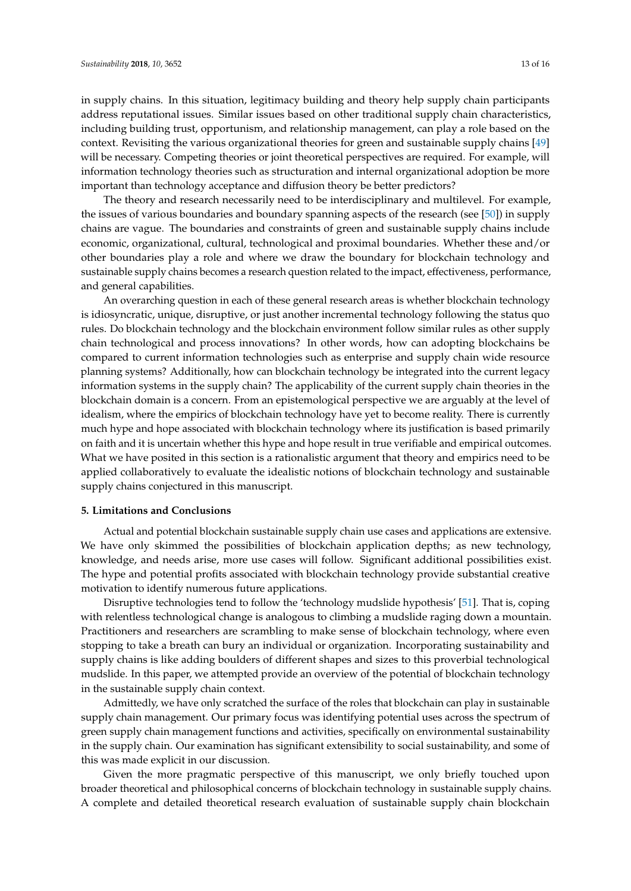in supply chains. In this situation, legitimacy building and theory help supply chain participants address reputational issues. Similar issues based on other traditional supply chain characteristics, including building trust, opportunism, and relationship management, can play a role based on the context. Revisiting the various organizational theories for green and sustainable supply chains [\[49\]](#page-15-3) will be necessary. Competing theories or joint theoretical perspectives are required. For example, will information technology theories such as structuration and internal organizational adoption be more important than technology acceptance and diffusion theory be better predictors?

The theory and research necessarily need to be interdisciplinary and multilevel. For example, the issues of various boundaries and boundary spanning aspects of the research (see [\[50\]](#page-15-4)) in supply chains are vague. The boundaries and constraints of green and sustainable supply chains include economic, organizational, cultural, technological and proximal boundaries. Whether these and/or other boundaries play a role and where we draw the boundary for blockchain technology and sustainable supply chains becomes a research question related to the impact, effectiveness, performance, and general capabilities.

An overarching question in each of these general research areas is whether blockchain technology is idiosyncratic, unique, disruptive, or just another incremental technology following the status quo rules. Do blockchain technology and the blockchain environment follow similar rules as other supply chain technological and process innovations? In other words, how can adopting blockchains be compared to current information technologies such as enterprise and supply chain wide resource planning systems? Additionally, how can blockchain technology be integrated into the current legacy information systems in the supply chain? The applicability of the current supply chain theories in the blockchain domain is a concern. From an epistemological perspective we are arguably at the level of idealism, where the empirics of blockchain technology have yet to become reality. There is currently much hype and hope associated with blockchain technology where its justification is based primarily on faith and it is uncertain whether this hype and hope result in true verifiable and empirical outcomes. What we have posited in this section is a rationalistic argument that theory and empirics need to be applied collaboratively to evaluate the idealistic notions of blockchain technology and sustainable supply chains conjectured in this manuscript.

## **5. Limitations and Conclusions**

Actual and potential blockchain sustainable supply chain use cases and applications are extensive. We have only skimmed the possibilities of blockchain application depths; as new technology, knowledge, and needs arise, more use cases will follow. Significant additional possibilities exist. The hype and potential profits associated with blockchain technology provide substantial creative motivation to identify numerous future applications.

Disruptive technologies tend to follow the 'technology mudslide hypothesis' [\[51\]](#page-15-5). That is, coping with relentless technological change is analogous to climbing a mudslide raging down a mountain. Practitioners and researchers are scrambling to make sense of blockchain technology, where even stopping to take a breath can bury an individual or organization. Incorporating sustainability and supply chains is like adding boulders of different shapes and sizes to this proverbial technological mudslide. In this paper, we attempted provide an overview of the potential of blockchain technology in the sustainable supply chain context.

Admittedly, we have only scratched the surface of the roles that blockchain can play in sustainable supply chain management. Our primary focus was identifying potential uses across the spectrum of green supply chain management functions and activities, specifically on environmental sustainability in the supply chain. Our examination has significant extensibility to social sustainability, and some of this was made explicit in our discussion.

Given the more pragmatic perspective of this manuscript, we only briefly touched upon broader theoretical and philosophical concerns of blockchain technology in sustainable supply chains. A complete and detailed theoretical research evaluation of sustainable supply chain blockchain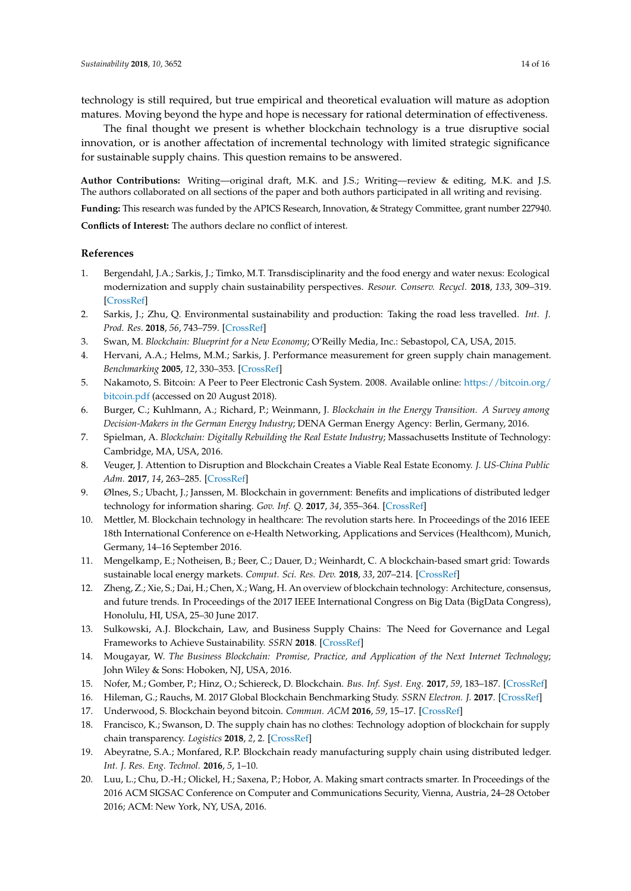technology is still required, but true empirical and theoretical evaluation will mature as adoption matures. Moving beyond the hype and hope is necessary for rational determination of effectiveness.

The final thought we present is whether blockchain technology is a true disruptive social innovation, or is another affectation of incremental technology with limited strategic significance for sustainable supply chains. This question remains to be answered.

**Author Contributions:** Writing—original draft, M.K. and J.S.; Writing—review & editing, M.K. and J.S. The authors collaborated on all sections of the paper and both authors participated in all writing and revising.

**Funding:** This research was funded by the APICS Research, Innovation, & Strategy Committee, grant number 227940. **Conflicts of Interest:** The authors declare no conflict of interest.

## **References**

- <span id="page-13-0"></span>1. Bergendahl, J.A.; Sarkis, J.; Timko, M.T. Transdisciplinarity and the food energy and water nexus: Ecological modernization and supply chain sustainability perspectives. *Resour. Conserv. Recycl.* **2018**, *133*, 309–319. [\[CrossRef\]](http://dx.doi.org/10.1016/j.resconrec.2018.01.001)
- <span id="page-13-1"></span>2. Sarkis, J.; Zhu, Q. Environmental sustainability and production: Taking the road less travelled. *Int. J. Prod. Res.* **2018**, *56*, 743–759. [\[CrossRef\]](http://dx.doi.org/10.1080/00207543.2017.1365182)
- <span id="page-13-2"></span>3. Swan, M. *Blockchain: Blueprint for a New Economy*; O'Reilly Media, Inc.: Sebastopol, CA, USA, 2015.
- <span id="page-13-3"></span>4. Hervani, A.A.; Helms, M.M.; Sarkis, J. Performance measurement for green supply chain management. *Benchmarking* **2005**, *12*, 330–353. [\[CrossRef\]](http://dx.doi.org/10.1108/14635770510609015)
- <span id="page-13-4"></span>5. Nakamoto, S. Bitcoin: A Peer to Peer Electronic Cash System. 2008. Available online: [https://bitcoin.org/](https://bitcoin.org/bitcoin.pdf) [bitcoin.pdf](https://bitcoin.org/bitcoin.pdf) (accessed on 20 August 2018).
- <span id="page-13-5"></span>6. Burger, C.; Kuhlmann, A.; Richard, P.; Weinmann, J. *Blockchain in the Energy Transition. A Survey among Decision-Makers in the German Energy Industry*; DENA German Energy Agency: Berlin, Germany, 2016.
- <span id="page-13-6"></span>7. Spielman, A. *Blockchain: Digitally Rebuilding the Real Estate Industry*; Massachusetts Institute of Technology: Cambridge, MA, USA, 2016.
- <span id="page-13-7"></span>8. Veuger, J. Attention to Disruption and Blockchain Creates a Viable Real Estate Economy. *J. US-China Public Adm.* **2017**, *14*, 263–285. [\[CrossRef\]](http://dx.doi.org/10.17265/1548-6591/2017.05.003)
- <span id="page-13-8"></span>9. Ølnes, S.; Ubacht, J.; Janssen, M. Blockchain in government: Benefits and implications of distributed ledger technology for information sharing. *Gov. Inf. Q.* **2017**, *34*, 355–364. [\[CrossRef\]](http://dx.doi.org/10.1016/j.giq.2017.09.007)
- <span id="page-13-9"></span>10. Mettler, M. Blockchain technology in healthcare: The revolution starts here. In Proceedings of the 2016 IEEE 18th International Conference on e-Health Networking, Applications and Services (Healthcom), Munich, Germany, 14–16 September 2016.
- <span id="page-13-10"></span>11. Mengelkamp, E.; Notheisen, B.; Beer, C.; Dauer, D.; Weinhardt, C. A blockchain-based smart grid: Towards sustainable local energy markets. *Comput. Sci. Res. Dev.* **2018**, *33*, 207–214. [\[CrossRef\]](http://dx.doi.org/10.1007/s00450-017-0360-9)
- <span id="page-13-11"></span>12. Zheng, Z.; Xie, S.; Dai, H.; Chen, X.; Wang, H. An overview of blockchain technology: Architecture, consensus, and future trends. In Proceedings of the 2017 IEEE International Congress on Big Data (BigData Congress), Honolulu, HI, USA, 25–30 June 2017.
- <span id="page-13-12"></span>13. Sulkowski, A.J. Blockchain, Law, and Business Supply Chains: The Need for Governance and Legal Frameworks to Achieve Sustainability. *SSRN* **2018**. [\[CrossRef\]](http://dx.doi.org/10.2139/ssrn.3205452)
- <span id="page-13-13"></span>14. Mougayar, W. *The Business Blockchain: Promise, Practice, and Application of the Next Internet Technology*; John Wiley & Sons: Hoboken, NJ, USA, 2016.
- <span id="page-13-14"></span>15. Nofer, M.; Gomber, P.; Hinz, O.; Schiereck, D. Blockchain. *Bus. Inf. Syst. Eng.* **2017**, *59*, 183–187. [\[CrossRef\]](http://dx.doi.org/10.1007/s12599-017-0467-3)
- <span id="page-13-15"></span>16. Hileman, G.; Rauchs, M. 2017 Global Blockchain Benchmarking Study. *SSRN Electron. J.* **2017**. [\[CrossRef\]](http://dx.doi.org/10.2139/ssrn.3040224)
- <span id="page-13-16"></span>17. Underwood, S. Blockchain beyond bitcoin. *Commun. ACM* **2016**, *59*, 15–17. [\[CrossRef\]](http://dx.doi.org/10.1145/2994581)
- <span id="page-13-17"></span>18. Francisco, K.; Swanson, D. The supply chain has no clothes: Technology adoption of blockchain for supply chain transparency. *Logistics* **2018**, *2*, 2. [\[CrossRef\]](http://dx.doi.org/10.3390/logistics2010002)
- <span id="page-13-18"></span>19. Abeyratne, S.A.; Monfared, R.P. Blockchain ready manufacturing supply chain using distributed ledger. *Int. J. Res. Eng. Technol.* **2016**, *5*, 1–10.
- <span id="page-13-19"></span>20. Luu, L.; Chu, D.-H.; Olickel, H.; Saxena, P.; Hobor, A. Making smart contracts smarter. In Proceedings of the 2016 ACM SIGSAC Conference on Computer and Communications Security, Vienna, Austria, 24–28 October 2016; ACM: New York, NY, USA, 2016.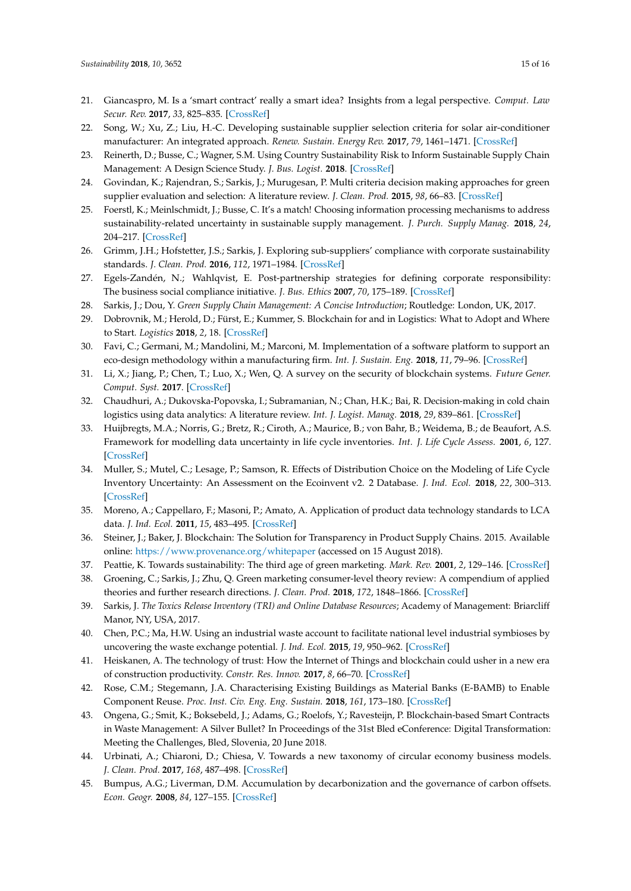- <span id="page-14-0"></span>21. Giancaspro, M. Is a 'smart contract' really a smart idea? Insights from a legal perspective. *Comput. Law Secur. Rev.* **2017**, *33*, 825–835. [\[CrossRef\]](http://dx.doi.org/10.1016/j.clsr.2017.05.007)
- <span id="page-14-1"></span>22. Song, W.; Xu, Z.; Liu, H.-C. Developing sustainable supplier selection criteria for solar air-conditioner manufacturer: An integrated approach. *Renew. Sustain. Energy Rev.* **2017**, *79*, 1461–1471. [\[CrossRef\]](http://dx.doi.org/10.1016/j.rser.2017.05.081)
- <span id="page-14-2"></span>23. Reinerth, D.; Busse, C.; Wagner, S.M. Using Country Sustainability Risk to Inform Sustainable Supply Chain Management: A Design Science Study. *J. Bus. Logist.* **2018**. [\[CrossRef\]](http://dx.doi.org/10.1111/jbl.12190)
- <span id="page-14-3"></span>24. Govindan, K.; Rajendran, S.; Sarkis, J.; Murugesan, P. Multi criteria decision making approaches for green supplier evaluation and selection: A literature review. *J. Clean. Prod.* **2015**, *98*, 66–83. [\[CrossRef\]](http://dx.doi.org/10.1016/j.jclepro.2013.06.046)
- <span id="page-14-4"></span>25. Foerstl, K.; Meinlschmidt, J.; Busse, C. It's a match! Choosing information processing mechanisms to address sustainability-related uncertainty in sustainable supply management. *J. Purch. Supply Manag.* **2018**, *24*, 204–217. [\[CrossRef\]](http://dx.doi.org/10.1016/j.pursup.2018.02.002)
- <span id="page-14-5"></span>26. Grimm, J.H.; Hofstetter, J.S.; Sarkis, J. Exploring sub-suppliers' compliance with corporate sustainability standards. *J. Clean. Prod.* **2016**, *112*, 1971–1984. [\[CrossRef\]](http://dx.doi.org/10.1016/j.jclepro.2014.11.036)
- <span id="page-14-6"></span>27. Egels-Zandén, N.; Wahlqvist, E. Post-partnership strategies for defining corporate responsibility: The business social compliance initiative. *J. Bus. Ethics* **2007**, *70*, 175–189. [\[CrossRef\]](http://dx.doi.org/10.1007/s10551-006-9104-7)
- <span id="page-14-7"></span>28. Sarkis, J.; Dou, Y. *Green Supply Chain Management: A Concise Introduction*; Routledge: London, UK, 2017.
- <span id="page-14-8"></span>29. Dobrovnik, M.; Herold, D.; Fürst, E.; Kummer, S. Blockchain for and in Logistics: What to Adopt and Where to Start. *Logistics* **2018**, *2*, 18. [\[CrossRef\]](http://dx.doi.org/10.3390/logistics2030018)
- <span id="page-14-9"></span>30. Favi, C.; Germani, M.; Mandolini, M.; Marconi, M. Implementation of a software platform to support an eco-design methodology within a manufacturing firm. *Int. J. Sustain. Eng.* **2018**, *11*, 79–96. [\[CrossRef\]](http://dx.doi.org/10.1080/19397038.2018.1439121)
- <span id="page-14-10"></span>31. Li, X.; Jiang, P.; Chen, T.; Luo, X.; Wen, Q. A survey on the security of blockchain systems. *Future Gener. Comput. Syst.* **2017**. [\[CrossRef\]](http://dx.doi.org/10.1016/j.future.2017.08.020)
- <span id="page-14-11"></span>32. Chaudhuri, A.; Dukovska-Popovska, I.; Subramanian, N.; Chan, H.K.; Bai, R. Decision-making in cold chain logistics using data analytics: A literature review. *Int. J. Logist. Manag.* **2018**, *29*, 839–861. [\[CrossRef\]](http://dx.doi.org/10.1108/IJLM-03-2017-0059)
- <span id="page-14-12"></span>33. Huijbregts, M.A.; Norris, G.; Bretz, R.; Ciroth, A.; Maurice, B.; von Bahr, B.; Weidema, B.; de Beaufort, A.S. Framework for modelling data uncertainty in life cycle inventories. *Int. J. Life Cycle Assess.* **2001**, *6*, 127. [\[CrossRef\]](http://dx.doi.org/10.1007/BF02978728)
- <span id="page-14-13"></span>34. Muller, S.; Mutel, C.; Lesage, P.; Samson, R. Effects of Distribution Choice on the Modeling of Life Cycle Inventory Uncertainty: An Assessment on the Ecoinvent v2. 2 Database. *J. Ind. Ecol.* **2018**, *22*, 300–313. [\[CrossRef\]](http://dx.doi.org/10.1111/jiec.12574)
- <span id="page-14-14"></span>35. Moreno, A.; Cappellaro, F.; Masoni, P.; Amato, A. Application of product data technology standards to LCA data. *J. Ind. Ecol.* **2011**, *15*, 483–495. [\[CrossRef\]](http://dx.doi.org/10.1111/j.1530-9290.2011.00353.x)
- <span id="page-14-15"></span>36. Steiner, J.; Baker, J. Blockchain: The Solution for Transparency in Product Supply Chains. 2015. Available online: <https://www.provenance.org/whitepaper> (accessed on 15 August 2018).
- <span id="page-14-16"></span>37. Peattie, K. Towards sustainability: The third age of green marketing. *Mark. Rev.* **2001**, *2*, 129–146. [\[CrossRef\]](http://dx.doi.org/10.1362/1469347012569869)
- <span id="page-14-17"></span>38. Groening, C.; Sarkis, J.; Zhu, Q. Green marketing consumer-level theory review: A compendium of applied theories and further research directions. *J. Clean. Prod.* **2018**, *172*, 1848–1866. [\[CrossRef\]](http://dx.doi.org/10.1016/j.jclepro.2017.12.002)
- <span id="page-14-18"></span>39. Sarkis, J. *The Toxics Release Inventory (TRI) and Online Database Resources*; Academy of Management: Briarcliff Manor, NY, USA, 2017.
- <span id="page-14-19"></span>40. Chen, P.C.; Ma, H.W. Using an industrial waste account to facilitate national level industrial symbioses by uncovering the waste exchange potential. *J. Ind. Ecol.* **2015**, *19*, 950–962. [\[CrossRef\]](http://dx.doi.org/10.1111/jiec.12236)
- <span id="page-14-20"></span>41. Heiskanen, A. The technology of trust: How the Internet of Things and blockchain could usher in a new era of construction productivity. *Constr. Res. Innov.* **2017**, *8*, 66–70. [\[CrossRef\]](http://dx.doi.org/10.1080/20450249.2017.1337349)
- <span id="page-14-21"></span>42. Rose, C.M.; Stegemann, J.A. Characterising Existing Buildings as Material Banks (E-BAMB) to Enable Component Reuse. *Proc. Inst. Civ. Eng. Eng. Sustain.* **2018**, *161*, 173–180. [\[CrossRef\]](http://dx.doi.org/10.1680/jensu.17.00074)
- <span id="page-14-22"></span>43. Ongena, G.; Smit, K.; Boksebeld, J.; Adams, G.; Roelofs, Y.; Ravesteijn, P. Blockchain-based Smart Contracts in Waste Management: A Silver Bullet? In Proceedings of the 31st Bled eConference: Digital Transformation: Meeting the Challenges, Bled, Slovenia, 20 June 2018.
- <span id="page-14-23"></span>44. Urbinati, A.; Chiaroni, D.; Chiesa, V. Towards a new taxonomy of circular economy business models. *J. Clean. Prod.* **2017**, *168*, 487–498. [\[CrossRef\]](http://dx.doi.org/10.1016/j.jclepro.2017.09.047)
- <span id="page-14-24"></span>45. Bumpus, A.G.; Liverman, D.M. Accumulation by decarbonization and the governance of carbon offsets. *Econ. Geogr.* **2008**, *84*, 127–155. [\[CrossRef\]](http://dx.doi.org/10.1111/j.1944-8287.2008.tb00401.x)